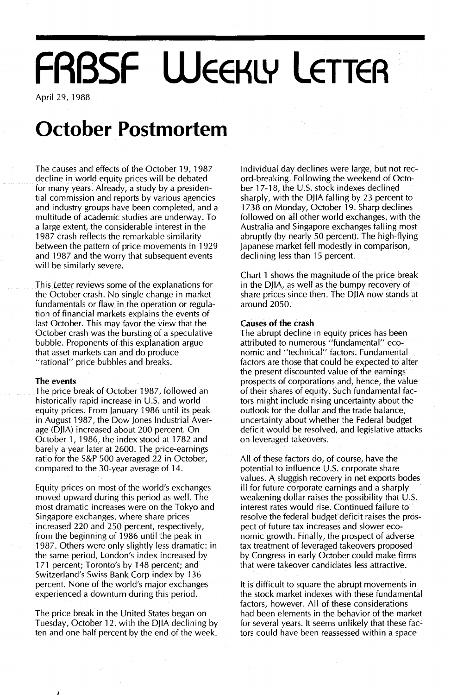# **FRBSF WEEKLY LETTER**

April 29, 1988

# **October Postmortem**

The causes and effects of the October 19, 1987 decline in world equity prices will be debated for many years. Already, a study by a presidential commission and reports by various agencies and industry groups have been completed, and a multitude of academic studies are underway. To a large extent, the considerable interest in the 1987 crash reflects the remarkable similarity between the pattern of price movements in 1929 and 1987 and the worry that subsequent events will be similarly severe.

This Letter reviews some of the explanations for the October crash. No single change in market fundamentals or flaw in the operation or regulation of financial markets explains the events of last October. This may favor the view that the October crash was the bursting of a speculative bubble. Proponents of this explanation argue that asset markets can and do produce "rational" price bubbles and breaks.

#### **The events**

The price break of October 1987, followed an historically rapid increase in U.S. and world equity prices. From january 1986 until its peak in August 1987, the Dow jones Industrial Average (DjIA) increased about 200 percent. On October 1, 1986, the index stood at 1782 and barely a year later at 2600. The price-earnings ratio for the S&P 500 averaged 22 in October, compared to the 30-year average of 14.

Equity prices on most of the world's exchanges moved upward during this period as well. The most dramatic increases were on the Tokyo and Singapore exchanges, where share prices increased 220 and 250 percent, respectively, from the beginning of 1986 until the peak in 1987. Others were only slightly less dramatic: in the same period, London's index increased by 171 percent; Toronto's by 148 percent; and Switzerland's Swiss Bank Corp index by 136 percent. None of the world's major exchanges experienced a downturn during this period.

The price break in the United States began on Tuesday, October 12, with the DjlA declining by ten and one half percent by the end of the week.

Individual day declines were large, but not record-breaking. Following the weekend of October 17-18, the U.S. stock indexes declined sharply, with the DJIA falling by  $23$  percent to 1738 on Monday, October 19. Sharp declines followed on all other world exchanges, with the Australia and Singapore exchanges falling most abruptly (by nearly 50 percent). The high-flying japanese market fell modestly in comparison, declining less than 15 percent.

Chart 1 shows the magnitude of the price break in the DjIA, as well as the bumpy recovery of share prices since then. The DjlA now stands at around 2050.

#### **Causes of the crash**

The abrupt decline in equity prices has been attributed to numerous "fundamental" economic and "technical" factors. Fundamental factors are those that could be expected to alter the present discounted value of the earnings prospects of corporations and, hence, the value of their shares of equity. Such fundamental factors might include rising uncertainty about the outlook for the dollar and the trade balance, uncertainty about whether the Federal budget deficit would be resolved, and legislative attacks on leveraged takeovers.

All of these factors do, of course, have the potential to influence U.S. corporate share values. A sluggish recovery in net exports bodes ill for future corporate earnings and a sharply weakening dollar raises the possibility that  $U.S.$ interest rates would rise. Continued failure to resolve the federal budget deficit raises the prospect of future tax increases and slower economic growth. Finally, the prospect of adverse tax treatment of leveraged takeovers proposed by Congress in early October could make firms that were takeover candidates less attractive.

It is difficult to square the abrupt movements in the stock market indexes with these fundamental factors, however. All of these considerations had been elements in the behavior of the market for several years. It seems unlikely that these factors could have been reassessed within a space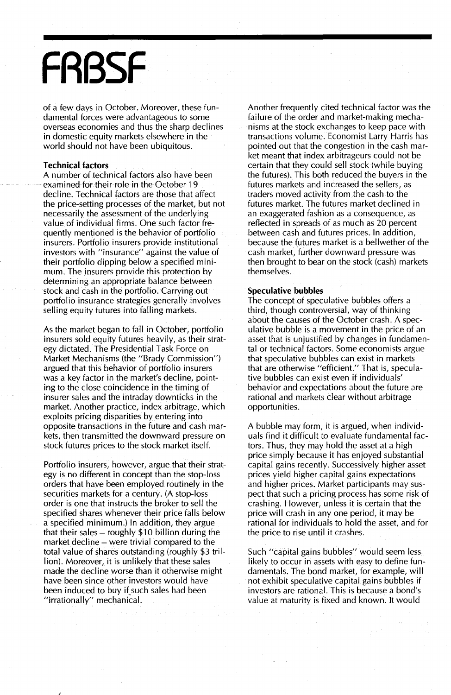# **FRBSF**

of a few days in October. Moreover, these fundamental forces were advantageous to some overseas economies and thus the sharp declines in domestic equity markets elsewhere in the world should not have been ubiquitous.

### **Technical factors**

A number of technical factors also have been examined for their role in the October 19 decline. Technical factors are those that affect the price-setting processes of the market, but not necessarily the assessment of the underlying value of individual firms. One such factor frequently mentioned is the behavior of portfolio insurers. Portfolio insurers provide institutional investors with "insurance" against the value of their portfolio dipping below a specified minimum. The insurers provide this protection by determining an appropriate balance between stock and cash in the portfolio. Carrying out portfolio insurance strategies generally involves selling equity futures into falling markets.

As the market began to fall in October, portfolio insurers sold equity futures heavily, as their strategy dictated. The Presidential Task Force on Market Mechanisms (the "Brady Commission") argued that this behavior of portfolio insurers was a key factor in the market's decline, pointing to the close coincidence in the timing of insurer sales and the intraday downticks in the market. Another practice, index arbitrage, which exploits pricing disparities by entering into opposite transactions in the future and cash markets, then transmitted the downward pressure on stock futures prices to the stock market itself.

Portfolio insurers, however, argue that their strategy is no different in concept than the stop-loss orders that have been employed routinely in the securities markets for a century. (A stop-loss order is one that instructs the broker to sell the specified shares whenever their price falls below a specified minimum.) In addition, they argue that their sales  $-$  roughly \$10 billion during the market decline – were trivial compared to the total value of shares outstanding (roughly \$3 trillion). Moreover, it is unlikely that these sales made the decline worse than it otherwise might have been since other investors would have been induced to buy if such sales had been "irrationally" mechanical.

Another frequently cited technical factor was the failure of the order and market-making mechanisms at the stock exchanges to keep pace with transactions volume. Economist Larry Harris has pointed out that the congestion in the cash market meant that index arbitrageurs could not be certain that they could sell stock (while buying the futures). This both reduced the buyers in the futures markets and increased the sellers, as traders moved activity from the cash to the futures market. The futures market declined in an exaggerated fashion as a consequence, as reflected in spreads of as much as 20 percent between cash and futures prices. In addition, because the futures market is a bellwether of the cash market, further downward pressure was then brought to bear on the stock (cash) markets themselves.

### **Speculative bubbles**

The concept of speculative bubbles offers a third, though controversial, way of thinking about the causes of the October crash. A speculative bubble is a movement in the price of an asset that is unjustified by changes in fundamental or technical factors. Some economists argue that speculative bubbles can exist in markets that are otherwise "efficient." That is, speculative bubbles can exist even if individuals' behavior and expectations about the future are rational and markets clear without arbitrage opportunities.

A bubble may form, it is argued, when individuals find it difficult to evaluate fundamental factors. Thus, they may hold the asset at a high price simply because it has enjoyed substantial capital gains recently. Successively higher asset prices yield higher capital gains expectations and higher prices. Market participants may suspect that such a pricing process has some risk of crashing. However, unless it is certain that the price will crash in anyone period, it may be rational for individuals to hold the asset, and for the price to rise until it crashes.

Such "capital gains bubbles" would seem less likely to occur in assets with easy to define fundamentals. The bond market, for example, will not exhibit speculative capital gains bubbles if investors are rational. This is because a bond's value at maturity is fixed and known. It would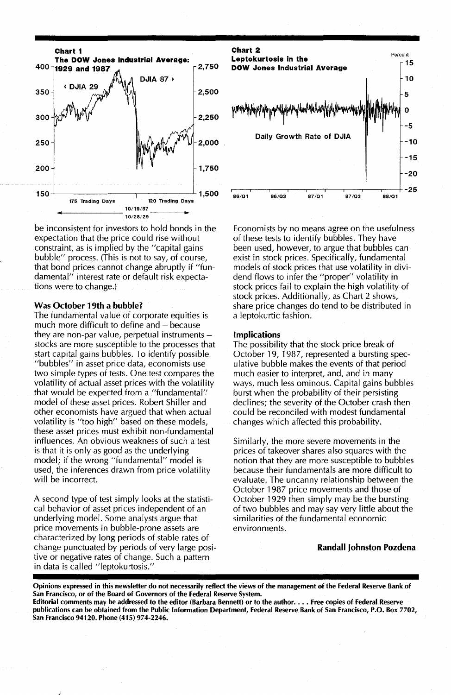

be inconsistent for investors to hold bonds in the expectation that the price could rise without constraint, as is implied by the "capital gains bubble" process. (This is not to say, of course, that bond prices cannot change abruptly if "fundamental" interest rate or default risk expectations were to change.)

#### Was October 19th a bubble?

The fundamental value of corporate equities is much more difficult to define and - because they are non-par value, perpetual instruments stocks are more susceptible to the processes that start capital gains bubbles. To identify possible "bubbles" in asset price data, economists use two simple types of tests. One test compares the volatility of actual asset prices with the volatility that would be expected from a "fundamental" model of these asset prices. Robert Shiller and other economists have argued that when actual volatility is "too high" based on these models, these asset prices must exhibit non-fundamental influences. An obvious weakness of such a test is that it is only as good as the underlying model; if the wrong "fundamental" model is used, the inferences drawn from price volatility will be incorrect.

A second type of test simply looks at the statistical behavior of asset prices independent of an underlying model. Some analysts argue that price movements in bubble-prone assets are characterized by long periods of stable rates of change punctuated by periods of very large positive or negative rates of change. Such a pattern in data is called "Ieptokurtosis."



Economists by no means agree on the usefulness of these tests to identify bubbles. They have been used, however, to argue that bubbles can exist in stock prices. Specifically, fundamental models of stock prices that use volatility in dividend flows to infer the "proper" volatility in stock prices fail to explain the high volatility of stock prices. Additionally, as Chart 2 shows, share price changes do tend to be distributed in a leptokurtic fashion.

#### Implications

The possibility that the stock price break of October 19, 1987, represented a bursting speculative bubble makes the events of that period much easier to interpret, and, and in many ways, much less ominous. Capital gains bubbles burst when the probability of their persisting declines; the severity of the October crash then could be reconciled with modest fundamental changes which affected this probability.

Similarly, the more severe movements in the prices of takeover shares also squares with the notion that they are more susceptible to bubbles because their fundamentals are more difficult to evaluate. The uncanny relationship between the October 1987 price movements and those of October 1929 then simply may be the bursting of two bubbles and may say very little about the similarities of the fundamental economic environments.

#### Randall Johnston Pozdena

Opinions expressed in this newsletter do not necessarily reflect the views of the management of the Federal Reserve Bank of San Francisco, or of the Board of Governors of the Federal Reserve System.

Editorial comments may be addressed to the editor (Barbara Bennett) or to the author..•. Free copies of Federal Reserve publications can be obtained from the Public Information Department, Federal Reserve Bank of San Francisco, P.O. Box 7702, San Francisco 94120. Phone (415) 974-2246.